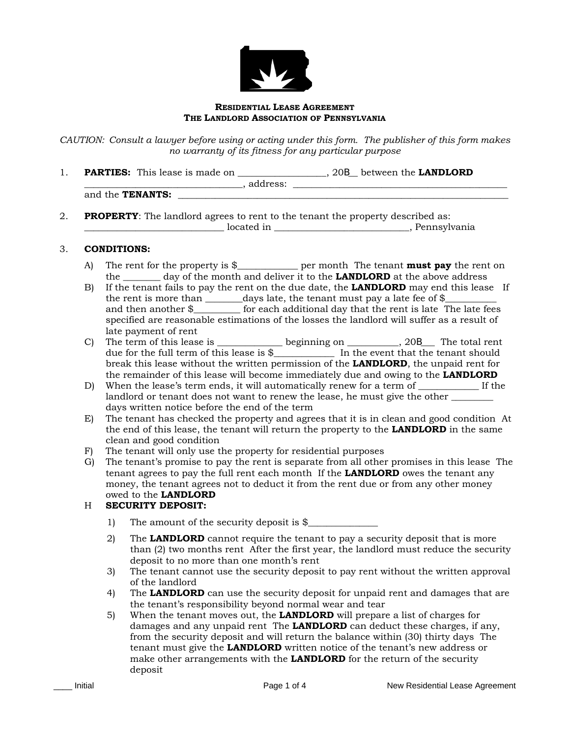

### **RESIDENTIAL LEASE AGREEMENT THE LANDLORD ASSOCIATION OF PENNSYLVANIA**

*CAUTION: Consult a lawyer before using or acting under this form. The publisher of this form makes no warranty of its fitness for any particular purpose* 

1. **PARTIES:** This lease is made on \_\_\_\_\_\_\_\_\_\_\_\_\_\_\_\_\_\_\_, 20B\_\_ between the **LANDLORD**  \_\_\_\_\_\_\_\_, address: \_\_\_\_

|                            | -------- |
|----------------------------|----------|
| <b>TENANTS:</b><br>and the |          |

2. **PROPERTY**: The landlord agrees to rent to the tenant the property described as: \_\_\_\_\_\_\_\_\_\_\_\_\_\_\_\_\_\_\_\_\_\_\_\_\_\_\_\_\_\_ located in \_\_\_\_\_\_\_\_\_\_\_\_\_\_\_\_\_\_\_\_\_\_\_\_\_\_\_\_\_, Pennsylvania

## 3. **CONDITIONS:**

- A) The rent for the property is \$\_\_\_\_\_\_\_\_\_\_\_\_\_ per month The tenant **must pay** the rent on the \_\_\_\_\_\_\_\_ day of the month and deliver it to the **LANDLORD** at the above address
- B) If the tenant fails to pay the rent on the due date, the **LANDLORD** may end this lease If the rent is more than  $\_\_\_\_\_\$  days late, the tenant must pay a late fee of \$ $\_\_\_\_\_\_\_\_\_\$ and then another  $\frac{8}{2}$  for each additional day that the rent is late The late fees specified are reasonable estimations of the losses the landlord will suffer as a result of late payment of rent
- C) The term of this lease is \_\_\_\_\_\_\_\_\_\_\_\_\_\_\_ beginning on \_\_\_\_\_\_\_\_\_, 20S\_\_\_\_ The total rent due for the full term of this lease is \$\_\_\_\_\_\_\_\_\_\_\_\_\_ In the event that the tenant should break this lease without the written permission of the **LANDLORD**, the unpaid rent for the remainder of this lease will become immediately due and owing to the **LANDLORD**
- D) When the lease's term ends, it will automatically renew for a term of \_\_\_\_\_\_\_\_\_\_\_\_\_ If the landlord or tenant does not want to renew the lease, he must give the other days written notice before the end of the term
- E) The tenant has checked the property and agrees that it is in clean and good condition At the end of this lease, the tenant will return the property to the **LANDLORD** in the same clean and good condition
- F) The tenant will only use the property for residential purposes
- G) The tenant's promise to pay the rent is separate from all other promises in this lease The tenant agrees to pay the full rent each month If the **LANDLORD** owes the tenant any money, the tenant agrees not to deduct it from the rent due or from any other money owed to the **LANDLORD**

## H **SECURITY DEPOSIT:**

- 1) The amount of the security deposit is \$
- 2) The **LANDLORD** cannot require the tenant to pay a security deposit that is more than (2) two months rent After the first year, the landlord must reduce the security deposit to no more than one month's rent
- 3) The tenant cannot use the security deposit to pay rent without the written approval of the landlord
- 4) The **LANDLORD** can use the security deposit for unpaid rent and damages that are the tenant's responsibility beyond normal wear and tear
- 5) When the tenant moves out, the **LANDLORD** will prepare a list of charges for damages and any unpaid rent The **LANDLORD** can deduct these charges, if any, from the security deposit and will return the balance within (30) thirty days The tenant must give the **LANDLORD** written notice of the tenant's new address or make other arrangements with the **LANDLORD** for the return of the security deposit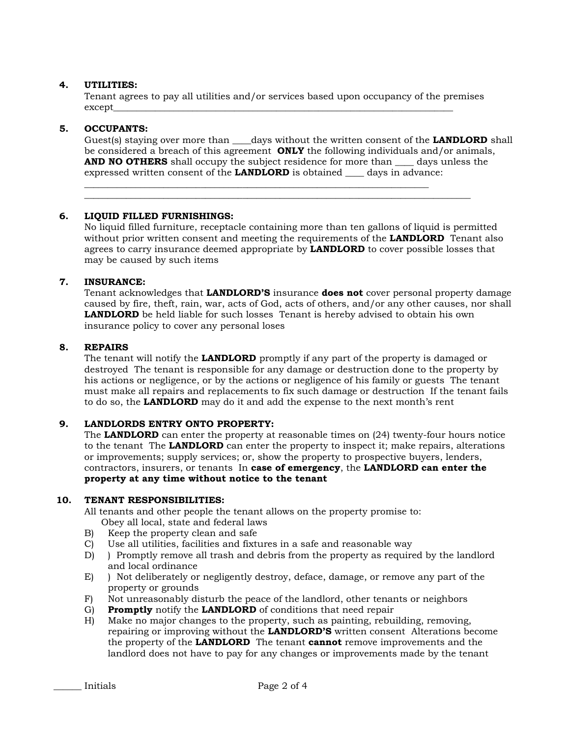## **4. UTILITIES:**

Tenant agrees to pay all utilities and/or services based upon occupancy of the premises  $\text{except\_}$ 

\_\_\_\_\_\_\_\_\_\_\_\_\_\_\_\_\_\_\_\_\_\_\_\_\_\_\_\_\_\_\_\_\_\_\_\_\_\_\_\_\_\_\_\_\_\_\_\_\_\_\_\_\_\_\_\_\_\_\_\_\_\_\_\_\_\_\_\_\_\_\_\_\_\_

\_\_\_\_\_\_\_\_\_\_\_\_\_\_\_\_\_\_\_\_\_\_\_\_\_\_\_\_\_\_\_\_\_\_\_\_\_\_\_\_\_\_\_\_\_\_\_\_\_\_\_\_\_\_\_\_\_\_\_\_\_\_\_\_\_\_\_\_\_\_\_\_\_\_\_\_\_\_\_\_\_\_\_

## **5. OCCUPANTS:**

Guest(s) staying over more than days without the written consent of the **LANDLORD** shall be considered a breach of this agreement **ONLY** the following individuals and/or animals, **AND NO OTHERS** shall occupy the subject residence for more than days unless the expressed written consent of the **LANDLORD** is obtained \_\_\_\_ days in advance:

## **6. LIQUID FILLED FURNISHINGS:**

No liquid filled furniture, receptacle containing more than ten gallons of liquid is permitted without prior written consent and meeting the requirements of the **LANDLORD** Tenant also agrees to carry insurance deemed appropriate by **LANDLORD** to cover possible losses that may be caused by such items

## **7. INSURANCE:**

Tenant acknowledges that **LANDLORD'S** insurance **does not** cover personal property damage caused by fire, theft, rain, war, acts of God, acts of others, and/or any other causes, nor shall **LANDLORD** be held liable for such losses Tenant is hereby advised to obtain his own insurance policy to cover any personal loses

## **8. REPAIRS**

The tenant will notify the **LANDLORD** promptly if any part of the property is damaged or destroyed The tenant is responsible for any damage or destruction done to the property by his actions or negligence, or by the actions or negligence of his family or guests The tenant must make all repairs and replacements to fix such damage or destruction If the tenant fails to do so, the **LANDLORD** may do it and add the expense to the next month's rent

### **9. LANDLORDS ENTRY ONTO PROPERTY:**

The **LANDLORD** can enter the property at reasonable times on (24) twenty-four hours notice to the tenant The **LANDLORD** can enter the property to inspect it; make repairs, alterations or improvements; supply services; or, show the property to prospective buyers, lenders, contractors, insurers, or tenants In **case of emergency**, the **LANDLORD can enter the property at any time without notice to the tenant** 

### **10. TENANT RESPONSIBILITIES:**

All tenants and other people the tenant allows on the property promise to:

- Obey all local, state and federal laws
- B) Keep the property clean and safe
- C) Use all utilities, facilities and fixtures in a safe and reasonable way
- D) ) Promptly remove all trash and debris from the property as required by the landlord and local ordinance
- E) ) Not deliberately or negligently destroy, deface, damage, or remove any part of the property or grounds
- F) Not unreasonably disturb the peace of the landlord, other tenants or neighbors
- G) **Promptly** notify the **LANDLORD** of conditions that need repair
- H) Make no major changes to the property, such as painting, rebuilding, removing, repairing or improving without the **LANDLORD'S** written consent Alterations become the property of the **LANDLORD** The tenant **cannot** remove improvements and the landlord does not have to pay for any changes or improvements made by the tenant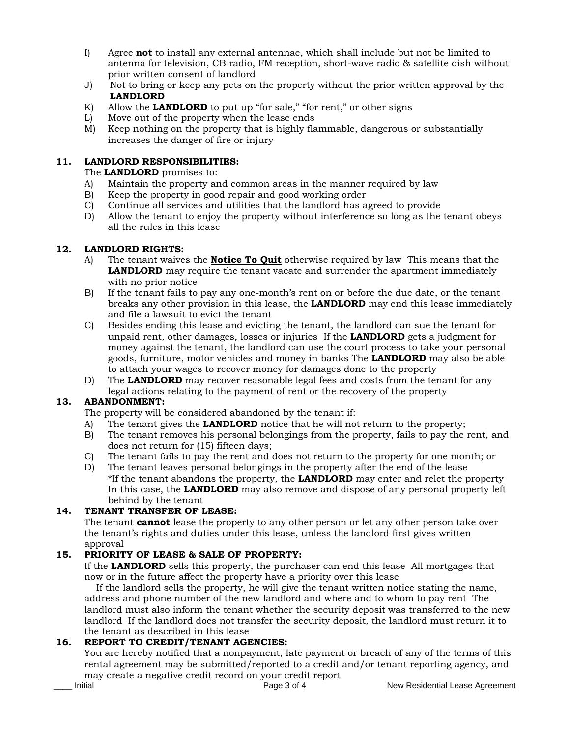- I) Agree **not** to install any external antennae, which shall include but not be limited to antenna for television, CB radio, FM reception, short-wave radio & satellite dish without prior written consent of landlord
- J) Not to bring or keep any pets on the property without the prior written approval by the **LANDLORD**
- K) Allow the **LANDLORD** to put up "for sale," "for rent," or other signs
- L) Move out of the property when the lease ends
- M) Keep nothing on the property that is highly flammable, dangerous or substantially increases the danger of fire or injury

# **11. LANDLORD RESPONSIBILITIES:**

The **LANDLORD** promises to:

- A) Maintain the property and common areas in the manner required by law
- B) Keep the property in good repair and good working order
- C) Continue all services and utilities that the landlord has agreed to provide
- D) Allow the tenant to enjoy the property without interference so long as the tenant obeys all the rules in this lease

## **12. LANDLORD RIGHTS:**

- A) The tenant waives the **Notice To Quit** otherwise required by law This means that the **LANDLORD** may require the tenant vacate and surrender the apartment immediately with no prior notice
- B) If the tenant fails to pay any one-month's rent on or before the due date, or the tenant breaks any other provision in this lease, the **LANDLORD** may end this lease immediately and file a lawsuit to evict the tenant
- C) Besides ending this lease and evicting the tenant, the landlord can sue the tenant for unpaid rent, other damages, losses or injuries If the **LANDLORD** gets a judgment for money against the tenant, the landlord can use the court process to take your personal goods, furniture, motor vehicles and money in banks The **LANDLORD** may also be able to attach your wages to recover money for damages done to the property
- D) The **LANDLORD** may recover reasonable legal fees and costs from the tenant for any legal actions relating to the payment of rent or the recovery of the property

# **13. ABANDONMENT:**

The property will be considered abandoned by the tenant if:

- A) The tenant gives the **LANDLORD** notice that he will not return to the property;
- B) The tenant removes his personal belongings from the property, fails to pay the rent, and does not return for (15) fifteen days;
- C) The tenant fails to pay the rent and does not return to the property for one month; or
- D) The tenant leaves personal belongings in the property after the end of the lease \*If the tenant abandons the property, the **LANDLORD** may enter and relet the property In this case, the **LANDLORD** may also remove and dispose of any personal property left behind by the tenant

## **14. TENANT TRANSFER OF LEASE:**

The tenant **cannot** lease the property to any other person or let any other person take over the tenant's rights and duties under this lease, unless the landlord first gives written approval

# **15. PRIORITY OF LEASE & SALE OF PROPERTY:**

If the **LANDLORD** sells this property, the purchaser can end this lease All mortgages that now or in the future affect the property have a priority over this lease

 If the landlord sells the property, he will give the tenant written notice stating the name, address and phone number of the new landlord and where and to whom to pay rent The landlord must also inform the tenant whether the security deposit was transferred to the new landlord If the landlord does not transfer the security deposit, the landlord must return it to the tenant as described in this lease

# **16. REPORT TO CREDIT/TENANT AGENCIES:**

You are hereby notified that a nonpayment, late payment or breach of any of the terms of this rental agreement may be submitted/reported to a credit and/or tenant reporting agency, and may create a negative credit record on your credit report